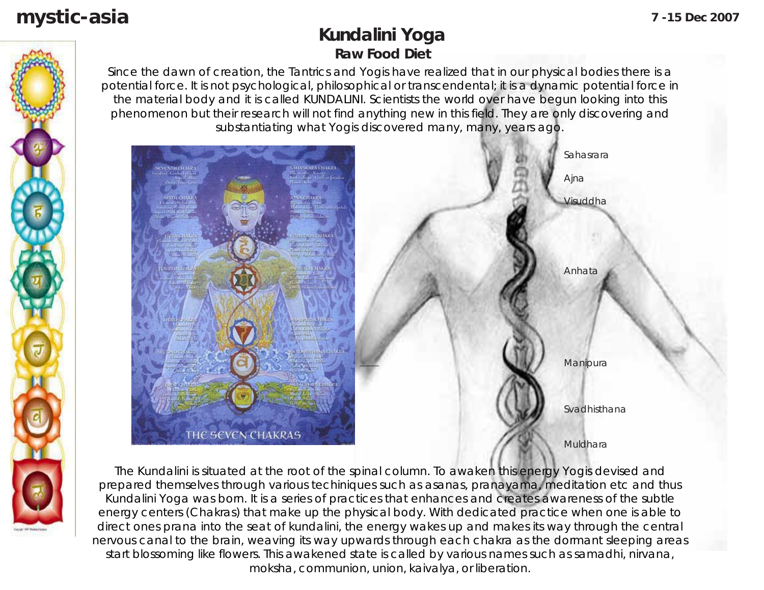# **mystic-asia 7 -15 Dec 2007**

## **Kundalini Yoga Raw Food Diet**

Since the dawn of creation, the Tantrics and Yogis have realized that in our physical bodies there is a potential force. It is not psychological, philosophical or transcendental; it is a dynamic potential force in the material body and it is called KUNDALINI. Scientists the world over have begun looking into this phenomenon but their research will not find anything new in this field. They are only discovering and substantiating what Yogis discovered many, many, years ago.



The Kundalini is situated at the root of the spinal column. To awaken this energy Yogis devised and prepared themselves through various techiniques such as asanas, pranayama, meditation etc and thus Kundalini Yoga was born. It is a series of practices that enhances and creates awareness of the subtle energy centers (Chakras) that make up the physical body. With dedicated practice when one is able to direct ones prana into the seat of kundalini, the energy wakes up and makes its way through the central nervous canal to the brain, weaving its way upwards through each chakra as the dormant sleeping areas start blossoming like flowers. This awakened state is called by various names such as samadhi, nirvana, moksha, communion, union, kaivalya, or liberation.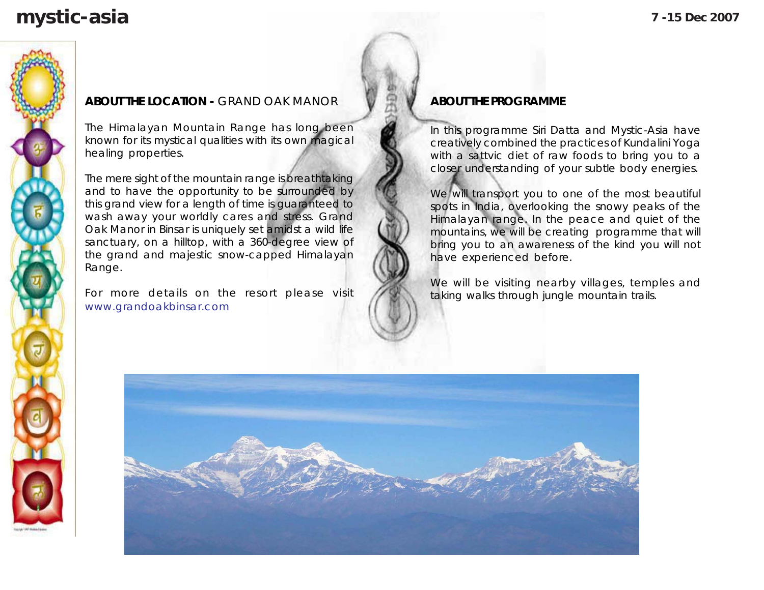# **mystic-asia 7 -15 Dec 2007**

#### **ABOUT THE LOCATION -** GRAND OAK MANOR

The Himalayan Mountain Range has long been known for its mystical qualities with its own magical healing properties.

The mere sight of the mountain range is breathtaking and to have the opportunity to be surrounded by this grand view for a length of time is guaranteed to wash away your worldly cares and stress. Grand Oak Manor in Binsar is uniquely set amidst a wild life sanctuary, on a hilltop, with a 360-degree view of the grand and majestic snow-capped Himalayan Range.

For more details on the resort please visit www.grandoakbinsar.com

#### **ABOUT THE PROGRAMME**

In this programme Siri Datta and Mystic-Asia have creatively combined the practices of Kundalini Yoga with a sattvic diet of raw foods to bring you to a closer understanding of your subtle body energies.

We will transport you to one of the most beautiful spots in India, overlooking the snowy peaks of the Himalayan range. In the peace and quiet of the mountains, we will be creating programme that will bring you to an awareness of the kind you will not have experienced before.

We will be visiting nearby villages, temples and taking walks through jungle mountain trails.

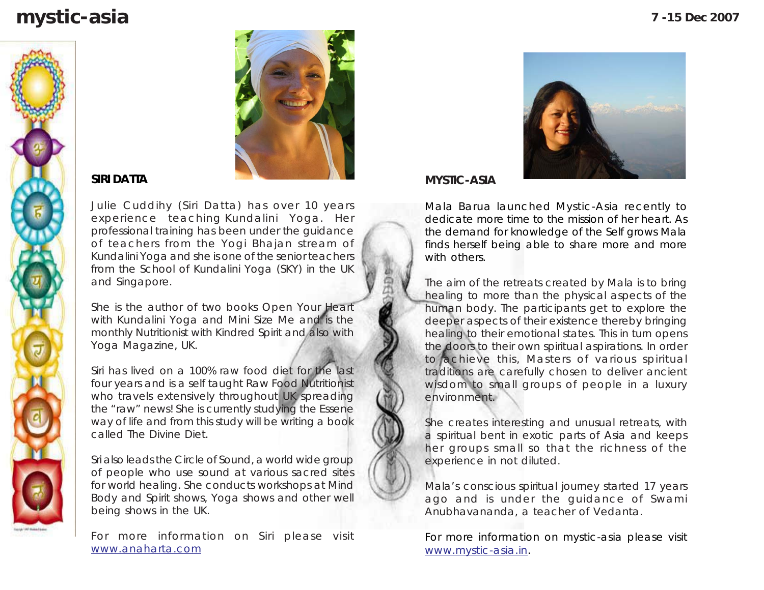# **mystic-asia 7 -15 Dec 2007**





#### **SIRI DATTA**

Julie Cuddihy (Siri Datta) has over 10 years experience teaching Kundalini Yoga. Her professional training has been under the guidance of teachers from the Yogi Bhajan stream of Kundalini Yoga and she is one of the senior teachers from the School of Kundalini Yoga (SKY) in the UK and Singapore.

She is the author of two books Open Your Heart with Kundalini Yoga and Mini Size Me and is the monthly Nutritionist with Kindred Spirit and also with Yoga Magazine, UK.

Siri has lived on a 100% raw food diet for the last four years and is a self taught Raw Food Nutritionist who travels extensively throughout UK spreading the "raw" news! She is currently studying the Essene way of life and from this study will be writing a book called The Divine Diet.

Sri also leads the Circle of Sound, a world wide group of people who use sound at various sacred sites for world healing. She conducts workshops at Mind Body and Spirit shows, Yoga shows and other well being shows in the UK.

For more information on Siri please visit www.anaharta.com



**MYSTIC-ASIA**

Mala Barua launched Mystic-Asia recently to dedicate more time to the mission of her heart. As the demand for knowledge of the Self grows Mala finds herself being able to share more and more with others.

The aim of the retreats created by Mala is to bring healing to more than the physical aspects of the human body. The participants get to explore the deeper aspects of their existence thereby bringing healing to their emotional states. This in turn opens the doors to their own spiritual aspirations. In order to achieve this, Masters of various spiritual traditions are carefully chosen to deliver ancient wisdom to small groups of people in a luxury environment.

She creates interesting and unusual retreats, with a spiritual bent in exotic parts of Asia and keeps her groups small so that the richness of the experience in not diluted.

Mala's conscious spiritual journey started 17 years ago and is under the guidance of Swami Anubhavananda, a teacher of Vedanta.

For more information on mystic-asia please visit www.mystic-asia.in.